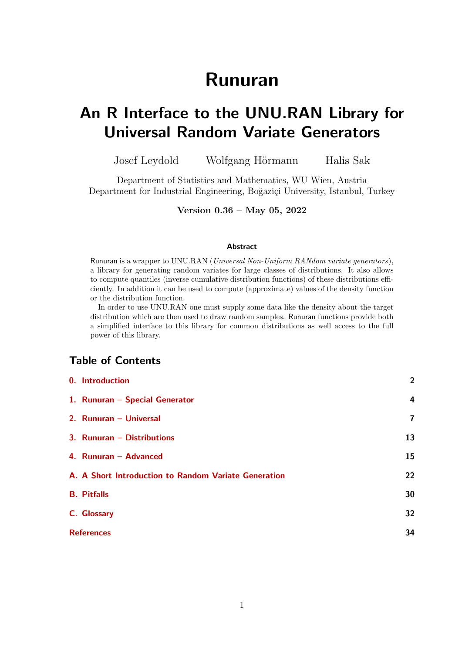# Runuran

# An R Interface to the UNU.RAN Library for Universal Random Variate Generators

Josef Leydold Wolfgang Hörmann Halis Sak

Department of Statistics and Mathematics, WU Wien, Austria Department for Industrial Engineering, Boğaziçi University, Istanbul, Turkey

Version 0.36 – May 05, 2022

### Abstract

Runuran is a wrapper to UNU.RAN (Universal Non-Uniform RANdom variate generators), a library for generating random variates for large classes of distributions. It also allows to compute quantiles (inverse cumulative distribution functions) of these distributions efficiently. In addition it can be used to compute (approximate) values of the density function or the distribution function.

In order to use UNU.RAN one must supply some data like the density about the target distribution which are then used to draw random samples. Runuran functions provide both a simplified interface to this library for common distributions as well access to the full power of this library.

# Table of Contents

| 0. Introduction                                      | $\overline{2}$          |
|------------------------------------------------------|-------------------------|
| 1. Runuran - Special Generator                       | $\overline{4}$          |
| 2. Runuran - Universal                               | $\overline{\mathbf{r}}$ |
| 3. Runuran - Distributions                           | 13                      |
| 4. Runuran - Advanced                                | 15                      |
| A. A Short Introduction to Random Variate Generation | 22                      |
| <b>B.</b> Pitfalls                                   | 30                      |
| C. Glossary                                          | 32                      |
| <b>References</b>                                    | 34                      |
|                                                      |                         |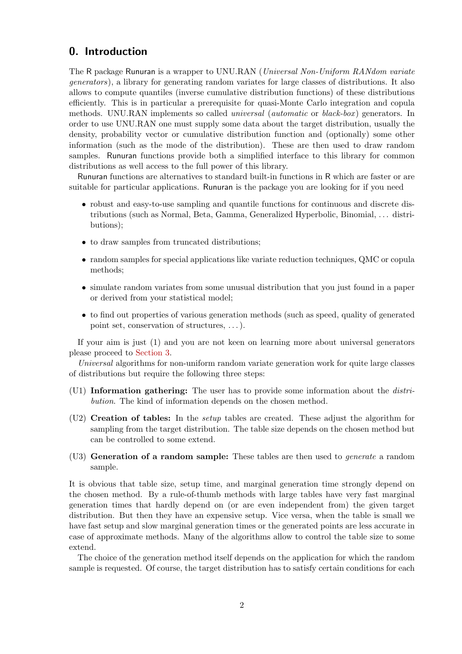# <span id="page-1-0"></span>0. Introduction

The R package Runuran is a wrapper to UNU.RAN (*Universal Non-Uniform RANdom variate* generators), a library for generating random variates for large classes of distributions. It also allows to compute quantiles (inverse cumulative distribution functions) of these distributions efficiently. This is in particular a prerequisite for quasi-Monte Carlo integration and copula methods. UNU.RAN implements so called *universal* (*automatic* or *black-box*) generators. In order to use UNU.RAN one must supply some data about the target distribution, usually the density, probability vector or cumulative distribution function and (optionally) some other information (such as the mode of the distribution). These are then used to draw random samples. Runuran functions provide both a simplified interface to this library for common distributions as well access to the full power of this library.

Runuran functions are alternatives to standard built-in functions in R which are faster or are suitable for particular applications. Runuran is the package you are looking for if you need

- robust and easy-to-use sampling and quantile functions for continuous and discrete distributions (such as Normal, Beta, Gamma, Generalized Hyperbolic, Binomial, . . . distributions);
- to draw samples from truncated distributions;
- random samples for special applications like variate reduction techniques, QMC or copula methods;
- simulate random variates from some unusual distribution that you just found in a paper or derived from your statistical model;
- to find out properties of various generation methods (such as speed, quality of generated point set, conservation of structures, . . . ).

If your aim is just (1) and you are not keen on learning more about universal generators please proceed to [Section 3.](#page-12-0)

Universal algorithms for non-uniform random variate generation work for quite large classes of distributions but require the following three steps:

- $(U1)$  Information gathering: The user has to provide some information about the *distri*bution. The kind of information depends on the chosen method.
- (U2) Creation of tables: In the setup tables are created. These adjust the algorithm for sampling from the target distribution. The table size depends on the chosen method but can be controlled to some extend.
- $(U3)$  Generation of a random sample: These tables are then used to *generate* a random sample.

It is obvious that table size, setup time, and marginal generation time strongly depend on the chosen method. By a rule-of-thumb methods with large tables have very fast marginal generation times that hardly depend on (or are even independent from) the given target distribution. But then they have an expensive setup. Vice versa, when the table is small we have fast setup and slow marginal generation times or the generated points are less accurate in case of approximate methods. Many of the algorithms allow to control the table size to some extend.

The choice of the generation method itself depends on the application for which the random sample is requested. Of course, the target distribution has to satisfy certain conditions for each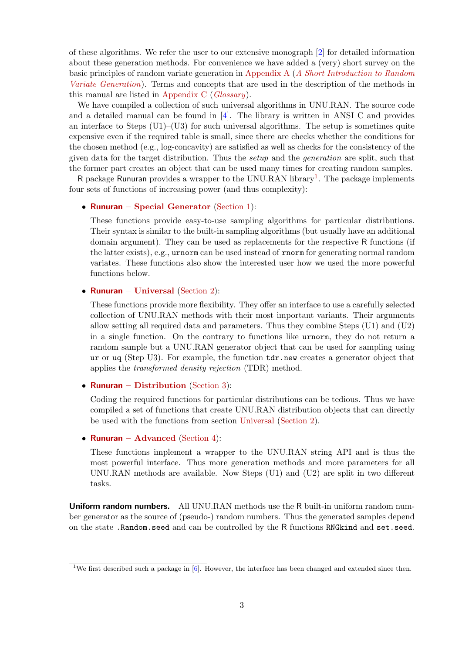of these algorithms. We refer the user to our extensive monograph [\[2\]](#page-33-1) for detailed information about these generation methods. For convenience we have added a (very) short survey on the basic principles of random variate generation in [Appendix A](#page-21-0) ([A Short Introduction to Random](#page-21-0) [Variate Generation](#page-21-0)). Terms and concepts that are used in the description of the methods in this manual are listed in [Appendix C](#page-31-0) ( $Glossary$ ).

We have compiled a collection of such universal algorithms in UNU.RAN. The source code and a detailed manual can be found in [\[4\]](#page-33-2). The library is written in ANSI C and provides an interface to Steps  $(U1)$ – $(U3)$  for such universal algorithms. The setup is sometimes quite expensive even if the required table is small, since there are checks whether the conditions for the chosen method (e.g., log-concavity) are satisfied as well as checks for the consistency of the given data for the target distribution. Thus the setup and the generation are split, such that the former part creates an object that can be used many times for creating random samples.

R package Runuran provides a wrapper to the UNU.RAN library<sup>[1](#page-2-0)</sup>. The package implements four sets of functions of increasing power (and thus complexity):

### • Runuran [– Special Generator](#page-12-0) [\(Section 1\)](#page-3-0):

These functions provide easy-to-use sampling algorithms for particular distributions. Their syntax is similar to the built-in sampling algorithms (but usually have an additional domain argument). They can be used as replacements for the respective R functions (if the latter exists), e.g., urnorm can be used instead of rnorm for generating normal random variates. These functions also show the interested user how we used the more powerful functions below.

### • Runuran [– Universal](#page-6-0) [\(Section 2\)](#page-6-0):

These functions provide more flexibility. They offer an interface to use a carefully selected collection of UNU.RAN methods with their most important variants. Their arguments allow setting all required data and parameters. Thus they combine Steps (U1) and (U2) in a single function. On the contrary to functions like urnorm, they do not return a random sample but a UNU.RAN generator object that can be used for sampling using ur or uq (Step U3). For example, the function  $tdr$  new creates a generator object that applies the transformed density rejection (TDR) method.

### • Runuran [– Distribution](#page-12-0) [\(Section 3\)](#page-12-0):

Coding the required functions for particular distributions can be tedious. Thus we have compiled a set of functions that create UNU.RAN distribution objects that can directly be used with the functions from section [Universal](#page-6-0) [\(Section 2\)](#page-6-0).

### • Runuran [– Advanced](#page-14-0) [\(Section 4\)](#page-14-0):

These functions implement a wrapper to the UNU.RAN string API and is thus the most powerful interface. Thus more generation methods and more parameters for all UNU.RAN methods are available. Now Steps (U1) and (U2) are split in two different tasks.

Uniform random numbers. All UNU.RAN methods use the R built-in uniform random number generator as the source of (pseudo-) random numbers. Thus the generated samples depend on the state .Random.seed and can be controlled by the R functions RNGkind and set.seed.

<span id="page-2-0"></span><sup>&</sup>lt;sup>1</sup>We first described such a package in [\[6\]](#page-33-3). However, the interface has been changed and extended since then.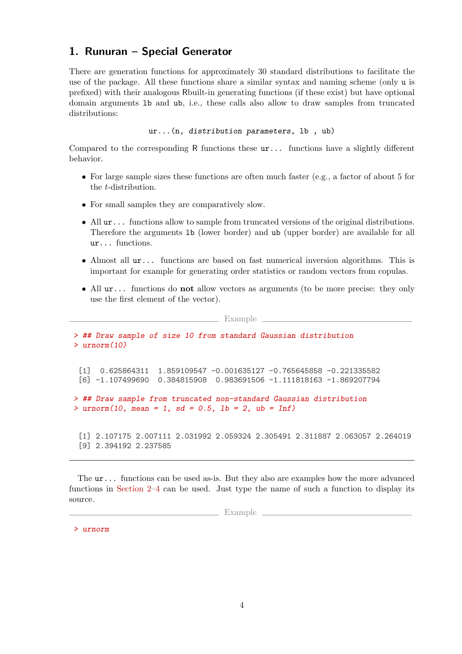# <span id="page-3-0"></span>1. Runuran – Special Generator

There are generation functions for approximately 30 standard distributions to facilitate the use of the package. All these functions share a similar syntax and naming scheme (only u is prefixed) with their analogous Rbuilt-in generating functions (if these exist) but have optional domain arguments lb and ub, i.e., these calls also allow to draw samples from truncated distributions:

```
ur...(n, distribution parameters, lb , ub)
```
Compared to the corresponding R functions these ur... functions have a slightly different behavior.

- For large sample sizes these functions are often much faster (e.g., a factor of about 5 for the t-distribution.
- For small samples they are comparatively slow.
- All  $ur...$  functions allow to sample from truncated versions of the original distributions. Therefore the arguments lb (lower border) and ub (upper border) are available for all ur... functions.
- Almost all  $ur...$  functions are based on fast numerical inversion algorithms. This is important for example for generating order statistics or random vectors from copulas.
- All  $ur...$  functions do **not** allow vectors as arguments (to be more precise: they only use the first element of the vector).

 $\equiv$  Example

> ## Draw sample of size 10 from standard Gaussian distribution > urnorm(10) [1] 0.625864311 1.859109547 -0.001635127 -0.765645858 -0.221335582 [6] -1.107499690 0.384815908 0.983691506 -1.111818163 -1.869207794 > ## Draw sample from truncated non-standard Gaussian distribution  $>$  urnorm(10, mean = 1, sd = 0.5, 1b = 2, ub = Inf) [1] 2.107175 2.007111 2.031992 2.059324 2.305491 2.311887 2.063057 2.264019 [9] 2.394192 2.237585

The ur... functions can be used as-is. But they also are examples how the more advanced functions in [Section 2–](#page-6-0)[4](#page-14-0) can be used. Just type the name of such a function to display its source.

Example  $\equiv$ 

> urnorm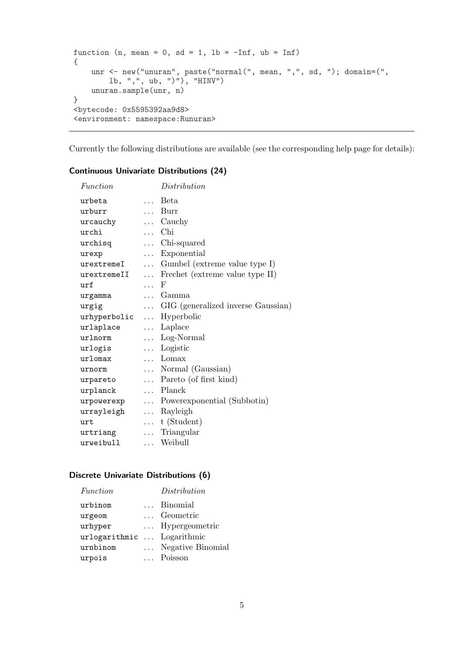```
function (n, mean = 0, sd = 1, lb = -Inf, ub = Inf)
{
    unr <- new("unuran", paste("normal(", mean, ",", sd, "); domain=(",
       lb, ",", ub, ")"), "HINV")
    unuran.sample(unr, n)
}
<bytecode: 0x5595392aa9d8>
<environment: namespace:Runuran>
```
Currently the following distributions are available (see the corresponding help page for details):

| Function                 |            | Distribution                            |
|--------------------------|------------|-----------------------------------------|
| urbeta                   | $\cdots$   | <b>Beta</b>                             |
| urburr                   |            | Burr                                    |
| urcauchy                 |            | $\ldots$ Cauchy                         |
| urchi                    |            | $\ldots$ Chi                            |
| urchisq                  |            | Chi-squared                             |
| urexp                    | $\ldots$   | Exponential                             |
| urextremeI               |            | $\ldots$ Gumbel (extreme value type I)  |
| urextremeII              | $\cdots$   | Frechet (extreme value type II)         |
| $\pi$                    | $\ldots$ F |                                         |
| urgamma                  |            | Gamma                                   |
| urgig                    |            | GIG (generalized inverse Gaussian)      |
| urhyperbolic  Hyperbolic |            |                                         |
| urlaplace                |            | Laplace                                 |
| urlnorm                  |            | $\ldots$ Log-Normal                     |
| urlogis                  |            | $\ldots$ Logistic                       |
| urlomax                  |            | $\ldots$ Lomax                          |
| urnorm                   |            | $\ldots$ Normal (Gaussian)              |
| urpareto                 |            | $\ldots$ Pareto (of first kind)         |
| urplanck                 |            | Planck                                  |
|                          |            | urpowerexp  Powerexponential (Subbotin) |
| urrayleigh  Rayleigh     |            |                                         |
| urt                      |            | $\dots$ t (Student)                     |
| urtriang                 |            | Triangular                              |
| urweibull                |            | Weibull                                 |

### Continuous Univariate Distributions (24)

### Discrete Univariate Distributions (6)

| Function                   | Distribution      |
|----------------------------|-------------------|
| urbinom                    | Binomial          |
| urgeom                     | Geometric         |
| urhyper                    | Hypergeometric    |
| urlogarithmic  Logarithmic |                   |
| urnbinom                   | Negative Binomial |
| urpois                     | Poisson           |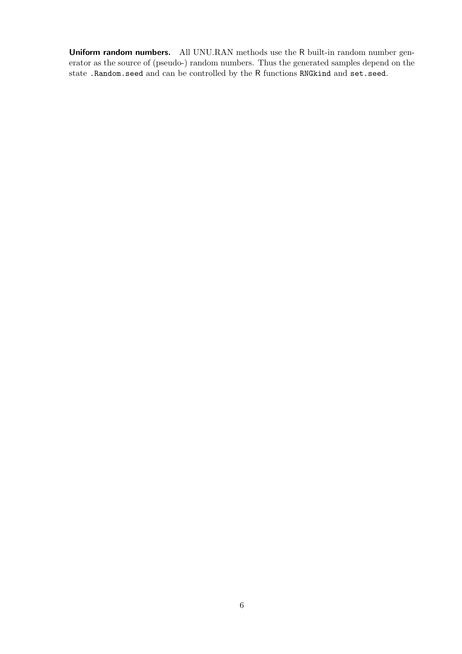Uniform random numbers. All UNU.RAN methods use the R built-in random number generator as the source of (pseudo-) random numbers. Thus the generated samples depend on the state .Random.seed and can be controlled by the R functions RNGkind and set.seed.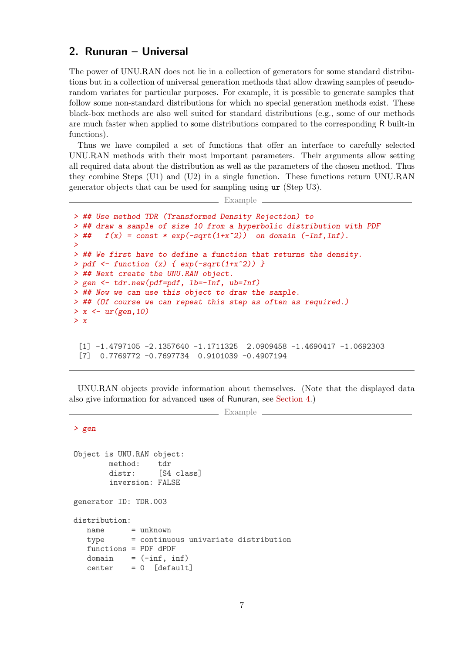# <span id="page-6-0"></span>2. Runuran – Universal

The power of UNU.RAN does not lie in a collection of generators for some standard distributions but in a collection of universal generation methods that allow drawing samples of pseudorandom variates for particular purposes. For example, it is possible to generate samples that follow some non-standard distributions for which no special generation methods exist. These black-box methods are also well suited for standard distributions (e.g., some of our methods are much faster when applied to some distributions compared to the corresponding R built-in functions).

Thus we have compiled a set of functions that offer an interface to carefully selected UNU.RAN methods with their most important parameters. Their arguments allow setting all required data about the distribution as well as the parameters of the chosen method. Thus they combine Steps (U1) and (U2) in a single function. These functions return UNU.RAN generator objects that can be used for sampling using ur (Step U3).

Example

```
> ## Use method TDR (Transformed Density Rejection) to
> ## draw a sample of size 10 from a hyperbolic distribution with PDF
> ## f(x) = const * exp(-sqrt(1+x^2)) on domain (-Inf,Inf).
>
> ## We first have to define a function that returns the density.
> pdf <- function (x) { exp(-sqrt(1+x^2)) }
> ## Next create the UNU.RAN object.
> gen <- tdr.new(pdf=pdf, lb=-Inf, ub=Inf)
> ## Now we can use this object to draw the sample.
> ## (Of course we can repeat this step as often as required.)
> x \leftarrow ur(\text{gen},10)> x[1] -1.4797105 -2.1357640 -1.1711325 2.0909458 -1.4690417 -1.0692303
 [7] 0.7769772 -0.7697734 0.9101039 -0.4907194
```
UNU.RAN objects provide information about themselves. (Note that the displayed data also give information for advanced uses of Runuran, see [Section 4.](#page-14-0))

```
\equiv Example \equiv
```

```
> gen
```
Object is UNU.RAN object: method: tdr distr: [S4 class] inversion: FALSE generator ID: TDR.003 distribution: name = unknown type = continuous univariate distribution functions = PDF dPDF domain  $=$   $(-\inf, \inf)$ center = 0 [default]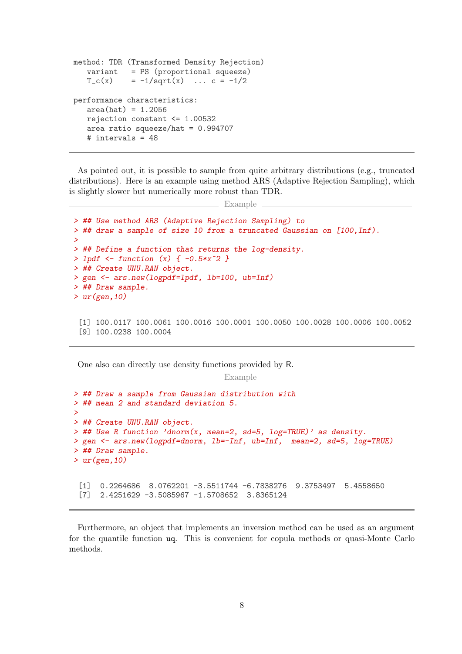```
method: TDR (Transformed Density Rejection)
   variant = PS (proportional squeeze)
   T_c(x) = -1/sqrt(x) ... c = -1/2performance characteristics:
   area(hat) = 1.2056rejection constant <= 1.00532
   area ratio squeeze/hat = 0.994707# intervals = 48
```
As pointed out, it is possible to sample from quite arbitrary distributions (e.g., truncated distributions). Here is an example using method ARS (Adaptive Rejection Sampling), which is slightly slower but numerically more robust than TDR.

```
Example
```

```
> ## Use method ARS (Adaptive Rejection Sampling) to
> ## draw a sample of size 10 from a truncated Gaussian on [100,Inf).
>
> ## Define a function that returns the log-density.
> 1pdf \leftarrow function (x) { -0.5*x^2 }> ## Create UNU.RAN object.
> gen <- ars.new(logpdf=lpdf, lb=100, ub=Inf)
> ## Draw sample.
> ur(gen, 10)
```
[1] 100.0117 100.0061 100.0016 100.0001 100.0050 100.0028 100.0006 100.0052 [9] 100.0238 100.0004

One also can directly use density functions provided by R.

```
> ## Draw a sample from Gaussian distribution with
> ## mean 2 and standard deviation 5.
>
> ## Create UNU.RAN object.
> ## Use R function 'dnorm(x, mean=2, sd=5, log=TRUE)' as density.
> gen <- ars.new(logpdf=dnorm, lb=-Inf, ub=Inf, mean=2, sd=5, log=TRUE)
> ## Draw sample.
> ur(gen,10)
 [1] 0.2264686 8.0762201 -3.5511744 -6.7838276 9.3753497 5.4558650
 [7] 2.4251629 -3.5085967 -1.5708652 3.8365124
```
Example

Furthermore, an object that implements an inversion method can be used as an argument for the quantile function uq. This is convenient for copula methods or quasi-Monte Carlo methods.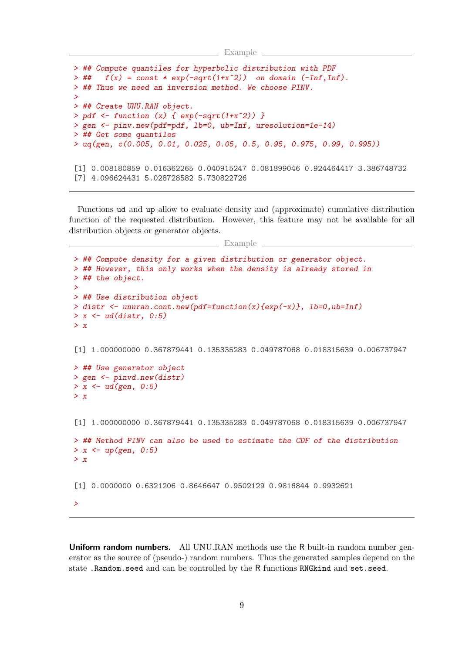```
<u>Example</u>
```

```
> ## Compute quantiles for hyperbolic distribution with PDF
\Rightarrow ## f(x) = const * exp(-sqrt(1+x^2)) on domain (-Inf,Inf).
> ## Thus we need an inversion method. We choose PINV.
>
> ## Create UNU.RAN object.
> pdf <- function (x) { exp(-sqrt(1+x^2)) }
> gen <- pinv.new(pdf=pdf, lb=0, ub=Inf, uresolution=1e-14)
> ## Get some quantiles
> uq(gen, c(0.005, 0.01, 0.025, 0.05, 0.5, 0.95, 0.975, 0.99, 0.995))
[1] 0.008180859 0.016362265 0.040915247 0.081899046 0.924464417 3.386748732
[7] 4.096624431 5.028728582 5.730822726
```
Functions ud and up allow to evaluate density and (approximate) cumulative distribution function of the requested distribution. However, this feature may not be available for all distribution objects or generator objects.

Example

```
> ## Compute density for a given distribution or generator object.
> ## However, this only works when the density is already stored in
> ## the object.
>
> ## Use distribution object
> distr \le unuran.cont.new(pdf=function(x){exp(-x)}, lb=0,ub=Inf)
> x < -ud(distr, 0.5)> x[1] 1.000000000 0.367879441 0.135335283 0.049787068 0.018315639 0.006737947
> ## Use generator object
> gen <- pinvd.new(distr)
> x < - u d(gen, 0.5)> x[1] 1.000000000 0.367879441 0.135335283 0.049787068 0.018315639 0.006737947
> ## Method PINV can also be used to estimate the CDF of the distribution
> x < - up(gen, 0:5)
> x[1] 0.0000000 0.6321206 0.8646647 0.9502129 0.9816844 0.9932621
>
```
Uniform random numbers. All UNU.RAN methods use the R built-in random number generator as the source of (pseudo-) random numbers. Thus the generated samples depend on the state .Random.seed and can be controlled by the R functions RNGkind and set.seed.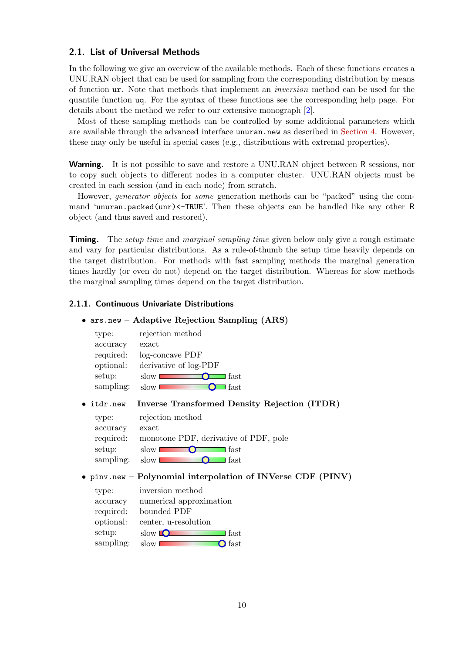### 2.1. List of Universal Methods

In the following we give an overview of the available methods. Each of these functions creates a UNU.RAN object that can be used for sampling from the corresponding distribution by means of function ur. Note that methods that implement an inversion method can be used for the quantile function uq. For the syntax of these functions see the corresponding help page. For details about the method we refer to our extensive monograph [\[2\]](#page-33-1).

Most of these sampling methods can be controlled by some additional parameters which are available through the advanced interface unuran.new as described in [Section 4.](#page-14-0) However, these may only be useful in special cases (e.g., distributions with extremal properties).

**Warning.** It is not possible to save and restore a UNU.RAN object between R sessions, nor to copy such objects to different nodes in a computer cluster. UNU.RAN objects must be created in each session (and in each node) from scratch.

However, generator objects for some generation methods can be "packed" using the command 'unuran.packed(unr)<-TRUE'. Then these objects can be handled like any other R object (and thus saved and restored).

**Timing.** The *setup time* and *marginal sampling time* given below only give a rough estimate and vary for particular distributions. As a rule-of-thumb the setup time heavily depends on the target distribution. For methods with fast sampling methods the marginal generation times hardly (or even do not) depend on the target distribution. Whereas for slow methods the marginal sampling times depend on the target distribution.

### 2.1.1. Continuous Univariate Distributions

### • ars.new – Adaptive Rejection Sampling (ARS)

| type:     | rejection method      |
|-----------|-----------------------|
| accuracy  | exact                 |
| required: | log-concave PDF       |
| optional: | derivative of log-PDF |
| setup:    | fast<br>slow          |
| sampling: | fast<br>slow          |

### • itdr.new – Inverse Transformed Density Rejection (ITDR)

| type:     | rejection method                      |
|-----------|---------------------------------------|
| accuracy  | exact                                 |
| required: | monotone PDF, derivative of PDF, pole |
| setup:    | slow L<br>fast                        |
| sampling: | slow<br>fast                          |
|           |                                       |

### • pinv.new – Polynomial interpolation of INVerse CDF (PINV)

| type:     | inversion method              |
|-----------|-------------------------------|
| accuracy  | numerical approximation       |
| required: | bounded PDF                   |
| optional: | center, u-resolution          |
| setup:    | slow $\blacksquare$<br>l fast |
| sampling: | fast<br>slow                  |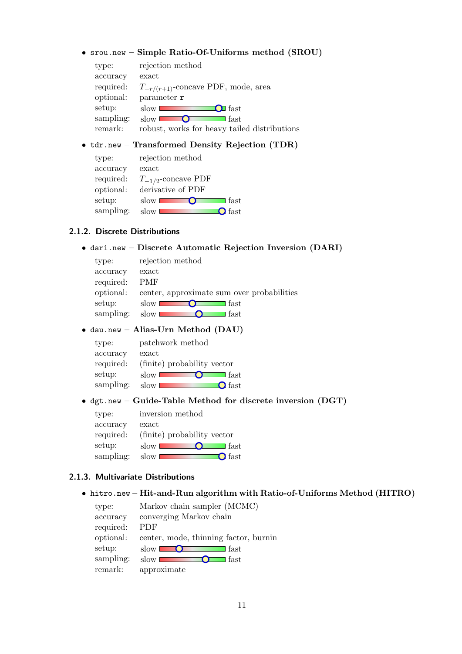### • srou.new – Simple Ratio-Of-Uniforms method (SROU)

| type:     | rejection method                             |
|-----------|----------------------------------------------|
| accuracy  | exact                                        |
| required: | $T_{-r/(r+1)}$ -concave PDF, mode, area      |
| optional: | parameter r                                  |
| setup:    | <b>O</b> fast<br>slow I                      |
| sampling: | fast<br>slow                                 |
| remark:   | robust, works for heavy tailed distributions |
|           |                                              |

## • tdr.new – Transformed Density Rejection (TDR)

| type:     | rejection method        |
|-----------|-------------------------|
| accuracy  | exact                   |
| required: | $T_{-1/2}$ -concave PDF |
| optional: | derivative of PDF       |
| setup:    | $\sf I$ fast<br>slow    |
| sampling: | <b>S</b> fast<br>slow   |
|           |                         |

### 2.1.2. Discrete Distributions

## • dari.new – Discrete Automatic Rejection Inversion (DARI)

| type:     | rejection method                           |
|-----------|--------------------------------------------|
| accuracy  | exact                                      |
| required: | <b>PMF</b>                                 |
| optional: | center, approximate sum over probabilities |
| setup:    | fast<br>slow                               |
| sampling: | slow<br>fast                               |

### • dau.new – Alias-Urn Method (DAU)

| type:     | patchwork method            |
|-----------|-----------------------------|
| accuracy  | exact                       |
| required: | (finite) probability vector |
| setup:    | l fast<br>slow I            |
| sampling: | $\Omega$ fast<br>slow       |
|           |                             |

### • dgt.new – Guide-Table Method for discrete inversion (DGT)

| inversion method                |
|---------------------------------|
| exact                           |
| (finite) probability vector     |
| $\operatorname{slow}$<br>∃ fast |
| $\mathbf{O}$ fast<br>slow       |
|                                 |

### 2.1.3. Multivariate Distributions

### • hitro.new – Hit-and-Run algorithm with Ratio-of-Uniforms Method (HITRO)

| type:     | Markov chain sampler (MCMC)            |
|-----------|----------------------------------------|
| accuracy  | converging Markov chain                |
| required: | <b>PDF</b>                             |
| optional: | center, mode, thinning factor, burning |
| setup:    | fast<br>slow                           |
| sampling: | l fast<br>slow                         |
| remark:   | approximate                            |
|           |                                        |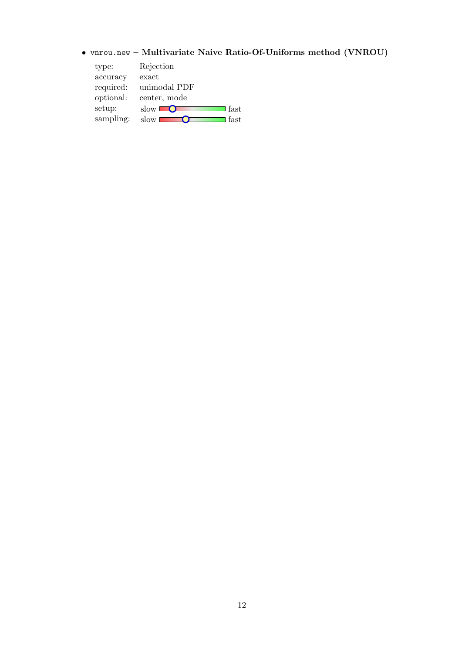# • vnrou.new – Multivariate Naive Ratio-Of-Uniforms method (VNROU)

| type:     | Rejection    |
|-----------|--------------|
| accuracy  | exact        |
| required: | unimodal PDF |
| optional: | center, mode |
| setup:    | fast<br>slow |
| sampling: | fast<br>slow |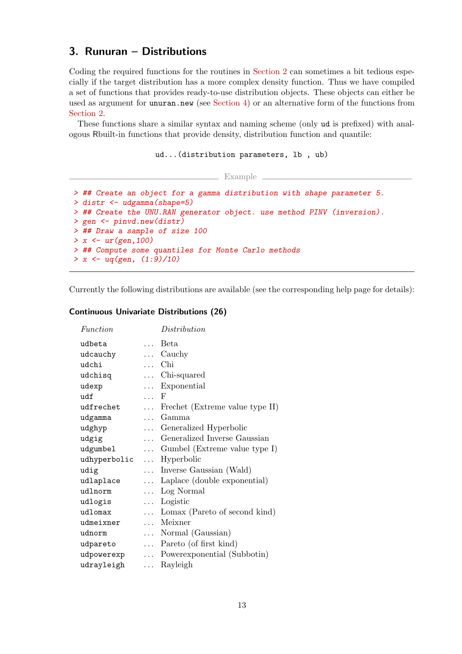# <span id="page-12-0"></span>3. Runuran – Distributions

Coding the required functions for the routines in [Section 2](#page-6-0) can sometimes a bit tedious especially if the target distribution has a more complex density function. Thus we have compiled a set of functions that provides ready-to-use distribution objects. These objects can either be used as argument for unuran.new (see [Section 4\)](#page-14-0) or an alternative form of the functions from [Section 2.](#page-6-0)

These functions share a similar syntax and naming scheme (only ud is prefixed) with analogous Rbuilt-in functions that provide density, distribution function and quantile:

```
ud...(distribution parameters, lb , ub)
```
Example

```
> ## Create an object for a gamma distribution with shape parameter 5.
> distr <- udgamma(shape=5)
> ## Create the UNU.RAN generator object. use method PINV (inversion).
> gen <- pinvd.new(distr)
> ## Draw a sample of size 100
> x < -ur(gen, 100)> ## Compute some quantiles for Monte Carlo methods
> x < -uq(gen, (1:9)/10)
```
Currently the following distributions are available (see the corresponding help page for details):

### Continuous Univariate Distributions (26)

| Function     |            | Distribution                           |
|--------------|------------|----------------------------------------|
| udbeta       | $\cdots$   | Beta                                   |
| udcauchy     |            | $\ldots$ Cauchy                        |
| udchi        | $\cdots$   | Chi                                    |
| udchisq      |            | $\dots$ Chi-squared                    |
| udexp        |            | Exponential                            |
| udf          | $\ldots$ F |                                        |
| udfrechet    | $\cdots$   | Frechet (Extreme value type II)        |
| udgamma      | $\ddotsc$  | Gamma                                  |
| udghyp       |            | Generalized Hyperbolic                 |
| udgig        | $\cdots$   | Generalized Inverse Gaussian           |
| udgumbel     |            | $\ldots$ Gumbel (Extreme value type I) |
| udhyperbolic |            | $\ldots$ Hyperbolic                    |
| udig         |            | Inverse Gaussian (Wald)                |
| udlaplace    |            | Laplace (double exponential)           |
| udlnorm      |            | $\ldots$ Log Normal                    |
| udlogis      |            | Logistic                               |
| udlomax      | $\cdots$   | Lomax (Pareto of second kind)          |
| udmeixner    | $\cdots$   | Meixner                                |
| udnorm       | $\cdots$   | Normal (Gaussian)                      |
| udpareto     | $\cdots$   | Pareto (of first kind)                 |
| udpowerexp   | $\cdots$   | Power exponential (Subbotin)           |
| udrayleigh   | $\cdots$   | Rayleigh                               |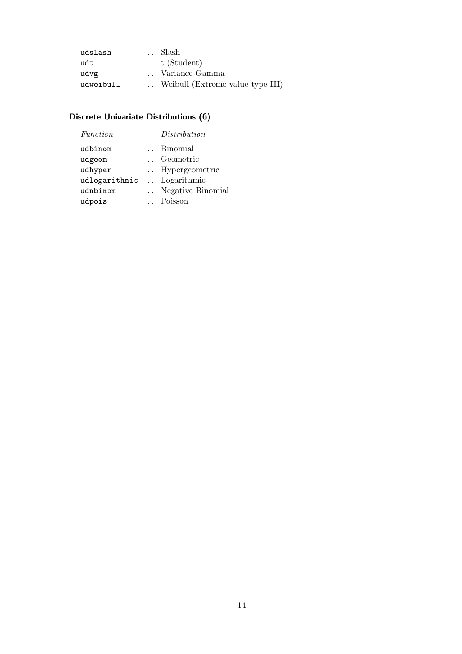| udslash   | Slash                            |
|-----------|----------------------------------|
| udt       | $\ldots$ t (Student)             |
| udvg      | Variance Gamma                   |
| udweibull | Weibull (Extreme value type III) |

# Discrete Univariate Distributions (6)

| Function                   | Distribution      |
|----------------------------|-------------------|
| udbinom                    | Binomial          |
| udgeom                     | Geometric         |
| udhyper                    | Hypergeometric    |
| udlogarithmic  Logarithmic |                   |
| udnbinom                   | Negative Binomial |
| udpois                     | Poisson           |
|                            |                   |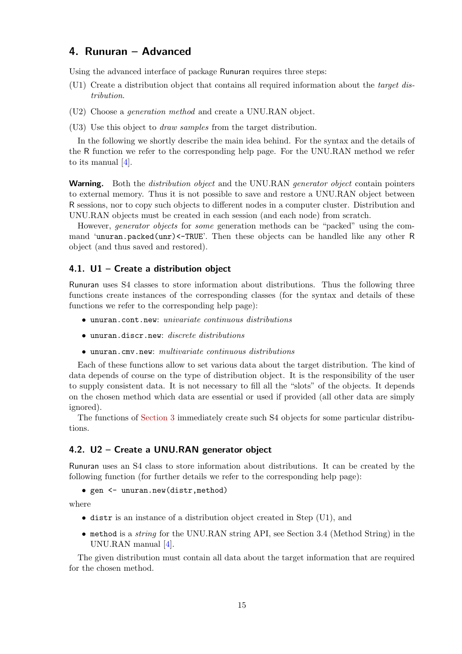# <span id="page-14-0"></span>4. Runuran – Advanced

Using the advanced interface of package Runuran requires three steps:

- (U1) Create a distribution object that contains all required information about the target distribution.
- (U2) Choose a generation method and create a UNU.RAN object.
- (U3) Use this object to draw samples from the target distribution.

In the following we shortly describe the main idea behind. For the syntax and the details of the R function we refer to the corresponding help page. For the UNU.RAN method we refer to its manual [\[4\]](#page-33-2).

**Warning.** Both the *distribution object* and the UNU.RAN *generator object* contain pointers to external memory. Thus it is not possible to save and restore a UNU.RAN object between R sessions, nor to copy such objects to different nodes in a computer cluster. Distribution and UNU.RAN objects must be created in each session (and each node) from scratch.

However, generator objects for some generation methods can be "packed" using the command 'unuran.packed(unr)<-TRUE'. Then these objects can be handled like any other R object (and thus saved and restored).

### <span id="page-14-1"></span>4.1. U1 – Create a distribution object

Runuran uses S4 classes to store information about distributions. Thus the following three functions create instances of the corresponding classes (for the syntax and details of these functions we refer to the corresponding help page):

- unuran.cont.new: univariate continuous distributions
- unuran.discr.new: discrete distributions
- unuran.cmv.new: multivariate continuous distributions

Each of these functions allow to set various data about the target distribution. The kind of data depends of course on the type of distribution object. It is the responsibility of the user to supply consistent data. It is not necessary to fill all the "slots" of the objects. It depends on the chosen method which data are essential or used if provided (all other data are simply ignored).

The functions of [Section 3](#page-12-0) immediately create such S4 objects for some particular distributions.

### 4.2. U2 – Create a UNU.RAN generator object

Runuran uses an S4 class to store information about distributions. It can be created by the following function (for further details we refer to the corresponding help page):

### • gen <- unuran.new(distr,method)

where

- distr is an instance of a distribution object created in Step (U1), and
- method is a string for the UNU.RAN string API, see Section 3.4 (Method String) in the UNU.RAN manual [\[4\]](#page-33-2).

The given distribution must contain all data about the target information that are required for the chosen method.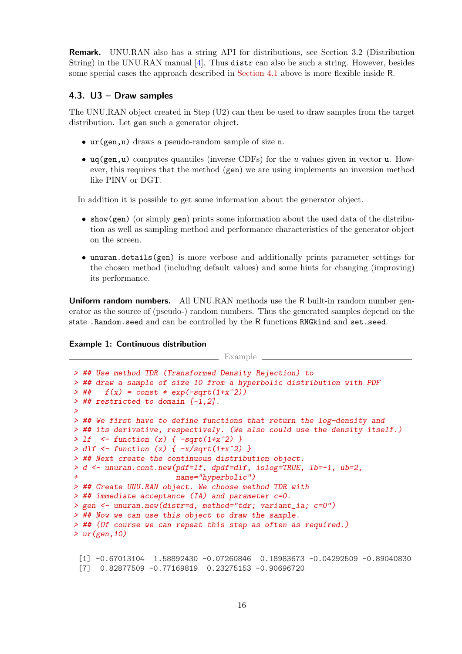Remark. UNU.RAN also has a string API for distributions, see Section 3.2 (Distribution String) in the UNU.RAN manual [\[4\]](#page-33-2). Thus distr can also be such a string. However, besides some special cases the approach described in [Section 4.1](#page-14-1) above is more flexible inside R.

### 4.3. U3 – Draw samples

The UNU.RAN object created in Step (U2) can then be used to draw samples from the target distribution. Let gen such a generator object.

- ur(gen,n) draws a pseudo-random sample of size n.
- uq(gen,u) computes quantiles (inverse CDFs) for the u values given in vector u. However, this requires that the method (gen) we are using implements an inversion method like PINV or DGT.

In addition it is possible to get some information about the generator object.

- show(gen) (or simply gen) prints some information about the used data of the distribution as well as sampling method and performance characteristics of the generator object on the screen.
- unuran.details(gen) is more verbose and additionally prints parameter settings for the chosen method (including default values) and some hints for changing (improving) its performance.

**Uniform random numbers.** All UNU.RAN methods use the R built-in random number generator as the source of (pseudo-) random numbers. Thus the generated samples depend on the state .Random.seed and can be controlled by the R functions RNGkind and set.seed.

### Example 1: Continuous distribution

```
\equiv Example
```

```
> ## Use method TDR (Transformed Density Rejection) to
> ## draw a sample of size 10 from a hyperbolic distribution with PDF
> ## f(x) = const * exp(-sqrt(1+x^2))> ## restricted to domain [-1,2].
>
> ## We first have to define functions that return the log-density and
> ## its derivative, respectively. (We also could use the density itself.)
> 1f \leftarrow function (x) \{-sqrt(1+x^2) \}> dlf <- function (x) { -x/sqrt(1+x^2) }
> ## Next create the continuous distribution object.
> d <- unuran.cont.new(pdf=lf, dpdf=dlf, islog=TRUE, lb=-1, ub=2,
                      name="hyperbolic")
> ## Create UNU.RAN object. We choose method TDR with
> ## immediate acceptance (IA) and parameter c=0.
> gen <- unuran.new(distr=d, method="tdr; variant_ia; c=0")
> ## Now we can use this object to draw the sample.
> ## (Of course we can repeat this step as often as required.)
> ur(gen, 10)
```

```
[1] -0.67013104 1.58892430 -0.07260846 0.18983673 -0.04292509 -0.89040830
[7] 0.82877509 -0.77169819 0.23275153 -0.90696720
```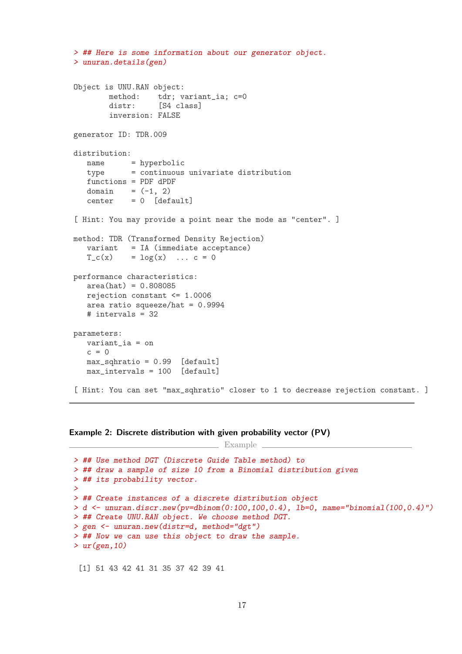```
> ## Here is some information about our generator object.
> unuran.details(gen)
Object is UNU.RAN object:
       method: tdr; variant_ia; c=0
       distr: [S4 class]
       inversion: FALSE
generator ID: TDR.009
distribution:
  name = hyperbolic
   type = continuous univariate distribution
   functions = PDF dPDF
   domain = (-1, 2)center = 0 [default]
[ Hint: You may provide a point near the mode as "center". ]
method: TDR (Transformed Density Rejection)
   variant = IA (immediate acceptance)
   T_c(x) = log(x) \dots c = 0performance characteristics:
   area(hat) = 0.808085rejection constant <= 1.0006
   area ratio squeeze/hat = 0.9994# intervals = 32
parameters:
  variant_ia = on
  c = 0max_sqhratio = 0.99 [default]
  max_intervals = 100 [default]
[ Hint: You can set "max_sqhratio" closer to 1 to decrease rejection constant. ]
```

```
Example 2: Discrete distribution with given probability vector (PV)
```
 $\equiv$  Example  $\equiv$ 

```
> ## Use method DGT (Discrete Guide Table method) to
> ## draw a sample of size 10 from a Binomial distribution given
> ## its probability vector.
>
> ## Create instances of a discrete distribution object
> d <- unuran.discr.new(pv=dbinom(0:100,100,0.4), lb=0, name="binomial(100,0.4)")
> ## Create UNU.RAN object. We choose method DGT.
> gen <- unuran.new(distr=d, method="dgt")
> ## Now we can use this object to draw the sample.
> ur(gen, 10)
```
[1] 51 43 42 41 31 35 37 42 39 41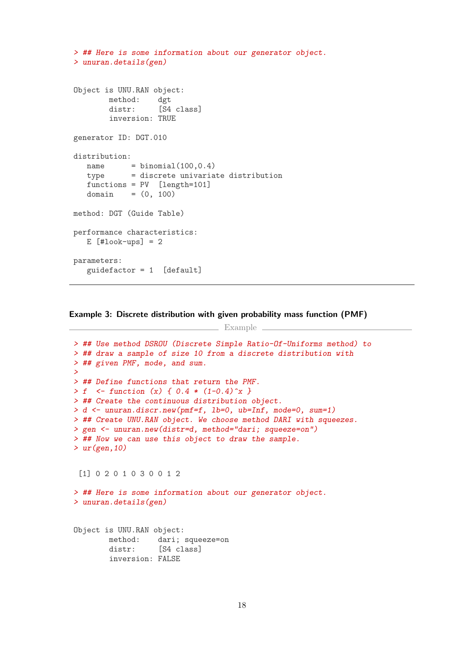```
> ## Here is some information about our generator object.
> unuran.details(gen)
Object is UNU.RAN object:
       method: dgt
       distr: [S4 class]
       inversion: TRUE
generator ID: DGT.010
distribution:
  name = binomial(100, 0.4)type = discrete univariate distribution
  functions = PV [length=101]
  domain = (0, 100)method: DGT (Guide Table)
performance characteristics:
  E [#look-ups] = 2
parameters:
  guidefactor = 1 [default]
```
Example 3: Discrete distribution with given probability mass function (PMF)

Example  $\equiv$ 

```
> ## Use method DSROU (Discrete Simple Ratio-Of-Uniforms method) to
> ## draw a sample of size 10 from a discrete distribution with
> ## given PMF, mode, and sum.
>
> ## Define functions that return the PMF.
> f \leq - function (x) { 0.4 * (1 - 0.4)^{x} }
> ## Create the continuous distribution object.
> d <- unuran.discr.new(pmf=f, lb=0, ub=Inf, mode=0, sum=1)
> ## Create UNU.RAN object. We choose method DARI with squeezes.
> gen <- unuran.new(distr=d, method="dari; squeeze=on")
> ## Now we can use this object to draw the sample.
> ur(gen, 10)
 [1] 0 2 0 1 0 3 0 0 1 2
> ## Here is some information about our generator object.
> unuran.details(gen)
```
Object is UNU.RAN object: method: dari; squeeze=on distr: [S4 class] inversion: FALSE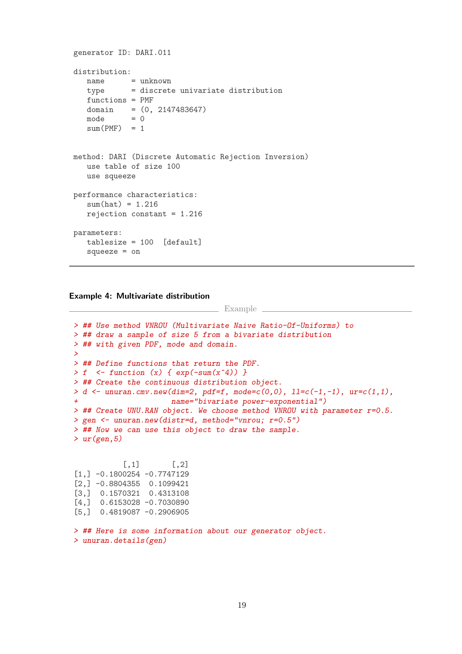```
generator ID: DARI.011
distribution:
  name = unknown
   type = discrete univariate distribution
   functions = PMF
   domain = (0, 2147483647)mode = 0sum(PMF) = 1method: DARI (Discrete Automatic Rejection Inversion)
  use table of size 100
  use squeeze
performance characteristics:
   sum(hat) = 1.216rejection constant = 1.216
parameters:
  tablesize = 100 [default]
   squeeze = on
```
Example 4: Multivariate distribution

Example

```
> ## Use method VNROU (Multivariate Naive Ratio-Of-Uniforms) to
> ## draw a sample of size 5 from a bivariate distribution
> ## with given PDF, mode and domain.
>
> ## Define functions that return the PDF.
> f \leq function (x) \{ \exp(-\text{sum}(x^2)) \}> ## Create the continuous distribution object.
> d \le unuran.cmv.new(dim=2, pdf=f, mode=c(0,0), ll=c(-1,-1), ur=c(1,1),
                      name="bivariate power-exponential")
> ## Create UNU.RAN object. We choose method VNROU with parameter r=0.5.
> gen <- unuran.new(distr=d, method="vnrou; r=0.5")
> ## Now we can use this object to draw the sample.
> ur(gen, 5)
           [,1] [,2]
[1,] -0.1800254 -0.7747129[2,] -0.8804355 0.1099421
[3,] 0.1570321 0.4313108
[4,] 0.6153028 -0.7030890
[5,] 0.4819087 -0.2906905
```

```
> ## Here is some information about our generator object.
> unuran.details(gen)
```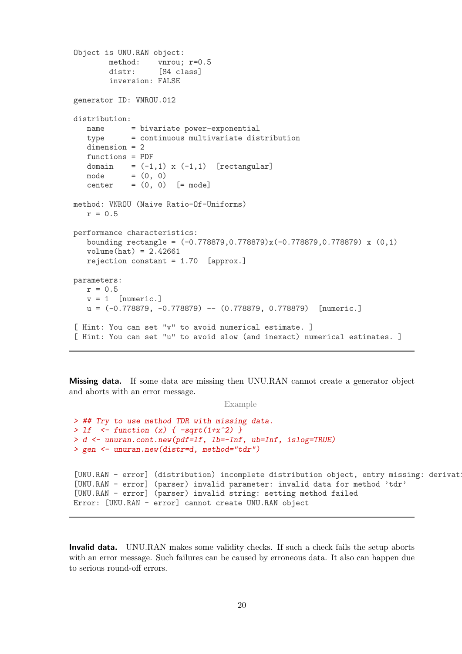```
Object is UNU.RAN object:
       method: vnrou; r=0.5
       distr: [S4 class]
       inversion: FALSE
generator ID: VNROU.012
distribution:
  name = bivariate power-exponential
  type = continuous multivariate distribution
  dimension = 2
  functions = PDF
  domain = (-1,1) x (-1,1) [rectangular]
  mode = (0, 0)center = (0, 0) [= mode]
method: VNROU (Naive Ratio-Of-Uniforms)
  r = 0.5performance characteristics:
  bounding rectangle = (-0.778879,0.778879)x(-0.778879,0.778879) x (0,1)
  volume(hat) = 2.42661rejection constant = 1.70 [approx.]
parameters:
  r = 0.5v = 1 [numeric.]
  u = (-0.778879, -0.778879) - (0.778879, 0.778879) [numeric.]
[ Hint: You can set "v" to avoid numerical estimate. ]
[ Hint: You can set "u" to avoid slow (and inexact) numerical estimates. ]
```
Missing data. If some data are missing then UNU.RAN cannot create a generator object and aborts with an error message.

Example

```
> ## Try to use method TDR with missing data.
> 1f \leftarrow function (x) { -sqrt(1+x^2) }> d <- unuran.cont.new(pdf=lf, lb=-Inf, ub=Inf, islog=TRUE)
> gen <- unuran.new(distr=d, method="tdr")
[UNU.RAN - error] (distribution) incomplete distribution object, entry missing: derivat
[UNU.RAN - error] (parser) invalid parameter: invalid data for method 'tdr'
[UNU.RAN - error] (parser) invalid string: setting method failed
Error: [UNU.RAN - error] cannot create UNU.RAN object
```
Invalid data. UNU.RAN makes some validity checks. If such a check fails the setup aborts with an error message. Such failures can be caused by erroneous data. It also can happen due to serious round-off errors.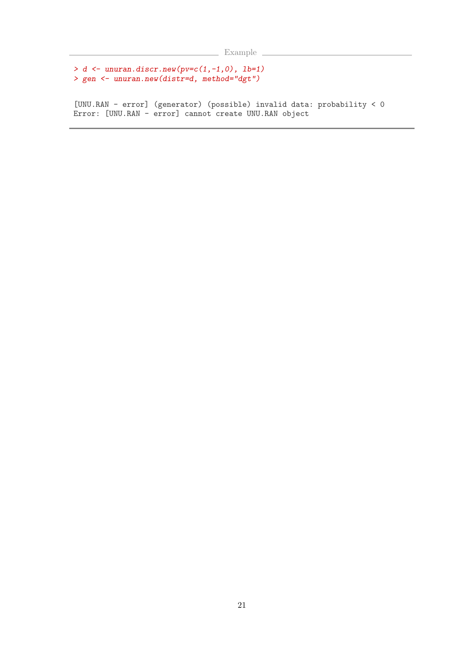```
Example
```

```
> d <- unuran.discr.new(pv=c(1,-1,0), lb=1)
> gen <- unuran.new(distr=d, method="dgt")
```
[UNU.RAN - error] (generator) (possible) invalid data: probability < 0 Error: [UNU.RAN - error] cannot create UNU.RAN object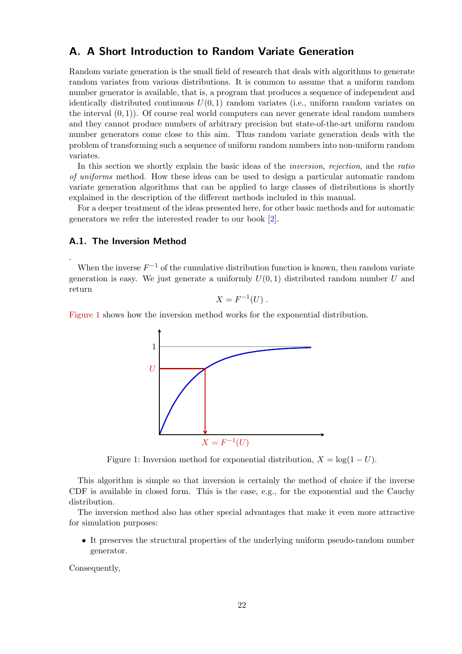## <span id="page-21-0"></span>A. A Short Introduction to Random Variate Generation

Random variate generation is the small field of research that deals with algorithms to generate random variates from various distributions. It is common to assume that a uniform random number generator is available, that is, a program that produces a sequence of independent and identically distributed continuous  $U(0, 1)$  random variates (i.e., uniform random variates on the interval  $(0, 1)$ ). Of course real world computers can never generate ideal random numbers and they cannot produce numbers of arbitrary precision but state-of-the-art uniform random number generators come close to this aim. Thus random variate generation deals with the problem of transforming such a sequence of uniform random numbers into non-uniform random variates.

In this section we shortly explain the basic ideas of the *inversion*, rejection, and the ratio of uniforms method. How these ideas can be used to design a particular automatic random variate generation algorithms that can be applied to large classes of distributions is shortly explained in the description of the different methods included in this manual.

For a deeper treatment of the ideas presented here, for other basic methods and for automatic generators we refer the interested reader to our book [\[2\]](#page-33-1).

### <span id="page-21-2"></span>A.1. The Inversion Method

.

When the inverse  $F^{-1}$  of the cumulative distribution function is known, then random variate generation is easy. We just generate a uniformly  $U(0, 1)$  distributed random number U and return

$$
X = F^{-1}(U) .
$$

[Figure 1](#page-21-1) shows how the inversion method works for the exponential distribution.



<span id="page-21-1"></span>Figure 1: Inversion method for exponential distribution,  $X = \log(1 - U)$ .

This algorithm is simple so that inversion is certainly the method of choice if the inverse CDF is available in closed form. This is the case, e.g., for the exponential and the Cauchy distribution.

The inversion method also has other special advantages that make it even more attractive for simulation purposes:

• It preserves the structural properties of the underlying uniform pseudo-random number generator.

Consequently,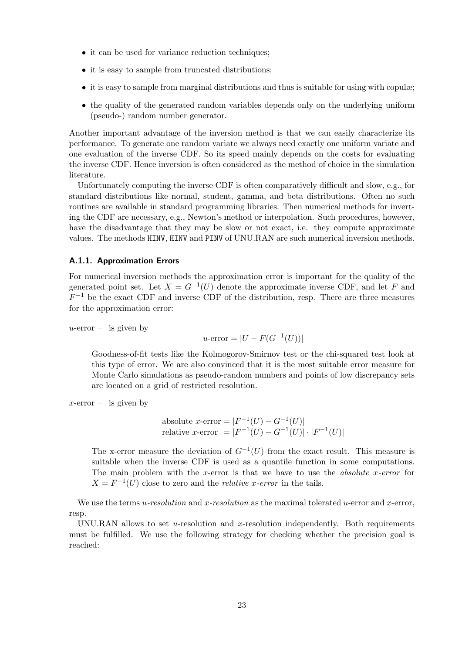- it can be used for variance reduction techniques;
- it is easy to sample from truncated distributions;
- it is easy to sample from marginal distributions and thus is suitable for using with copulæ;
- the quality of the generated random variables depends only on the underlying uniform (pseudo-) random number generator.

Another important advantage of the inversion method is that we can easily characterize its performance. To generate one random variate we always need exactly one uniform variate and one evaluation of the inverse CDF. So its speed mainly depends on the costs for evaluating the inverse CDF. Hence inversion is often considered as the method of choice in the simulation literature.

Unfortunately computing the inverse CDF is often comparatively difficult and slow, e.g., for standard distributions like normal, student, gamma, and beta distributions. Often no such routines are available in standard programming libraries. Then numerical methods for inverting the CDF are necessary, e.g., Newton's method or interpolation. Such procedures, however, have the disadvantage that they may be slow or not exact, i.e. they compute approximate values. The methods HINV, HINV and PINV of UNU.RAN are such numerical inversion methods.

### <span id="page-22-0"></span>A.1.1. Approximation Errors

For numerical inversion methods the approximation error is important for the quality of the generated point set. Let  $X = G^{-1}(U)$  denote the approximate inverse CDF, and let F and  $F^{-1}$  be the exact CDF and inverse CDF of the distribution, resp. There are three measures for the approximation error:

 $u$ -error – is given by

$$
u
$$
-error =  $|U - F(G^{-1}(U))|$ 

Goodness-of-fit tests like the Kolmogorov-Smirnov test or the chi-squared test look at this type of error. We are also convinced that it is the most suitable error measure for Monte Carlo simulations as pseudo-random numbers and points of low discrepancy sets are located on a grid of restricted resolution.

 $x$ -error – is given by

absolute x-error =  $|F^{-1}(U) - G^{-1}(U)|$ relative x-error =  $|F^{-1}(U) - G^{-1}(U)| \cdot |F^{-1}(U)|$ 

The x-error measure the deviation of  $G^{-1}(U)$  from the exact result. This measure is suitable when the inverse CDF is used as a quantile function in some computations. The main problem with the x-error is that we have to use the *absolute x-error* for  $X = F^{-1}(U)$  close to zero and the *relative x-error* in the tails.

We use the terms u-resolution and x-resolution as the maximal tolerated u-error and x-error, resp.

UNU.RAN allows to set  $u$ -resolution and  $x$ -resolution independently. Both requirements must be fulfilled. We use the following strategy for checking whether the precision goal is reached: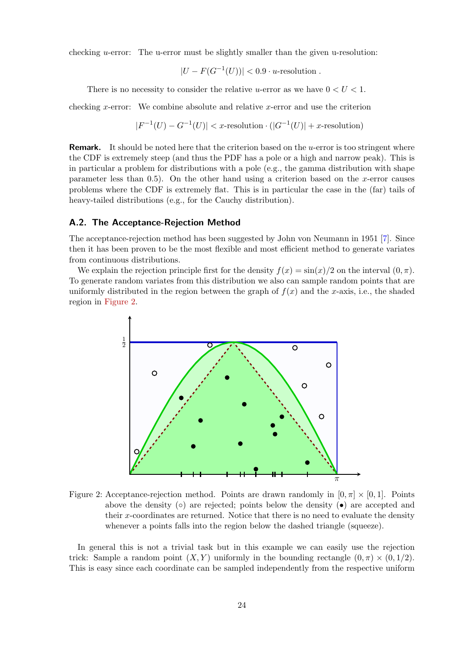checking u-error: The u-error must be slightly smaller than the given u-resolution:

$$
|U - F(G^{-1}(U))| < 0.9 \cdot u
$$
-resolution.

There is no necessity to consider the relative u-error as we have  $0 < U < 1$ .

checking x-error: We combine absolute and relative x-error and use the criterion

$$
|F^{-1}(U) - G^{-1}(U)| < x\text{-resolution} \cdot (|G^{-1}(U)| + x\text{-resolution})
$$

**Remark.** It should be noted here that the criterion based on the  $u$ -error is too stringent where the CDF is extremely steep (and thus the PDF has a pole or a high and narrow peak). This is in particular a problem for distributions with a pole (e.g., the gamma distribution with shape parameter less than  $(0.5)$ . On the other hand using a criterion based on the x-error causes problems where the CDF is extremely flat. This is in particular the case in the (far) tails of heavy-tailed distributions (e.g., for the Cauchy distribution).

### A.2. The Acceptance-Rejection Method

The acceptance-rejection method has been suggested by John von Neumann in 1951 [\[7\]](#page-33-4). Since then it has been proven to be the most flexible and most efficient method to generate variates from continuous distributions.

We explain the rejection principle first for the density  $f(x) = \sin(x)/2$  on the interval  $(0, \pi)$ . To generate random variates from this distribution we also can sample random points that are uniformly distributed in the region between the graph of  $f(x)$  and the x-axis, i.e., the shaded region in [Figure 2.](#page-23-0)



<span id="page-23-0"></span>Figure 2: Acceptance-rejection method. Points are drawn randomly in  $[0, \pi] \times [0, 1]$ . Points above the density  $\circ$  are rejected; points below the density  $\bullet$  are accepted and their x-coordinates are returned. Notice that there is no need to evaluate the density whenever a points falls into the region below the dashed triangle (squeeze).

In general this is not a trivial task but in this example we can easily use the rejection trick: Sample a random point  $(X, Y)$  uniformly in the bounding rectangle  $(0, \pi) \times (0, 1/2)$ . This is easy since each coordinate can be sampled independently from the respective uniform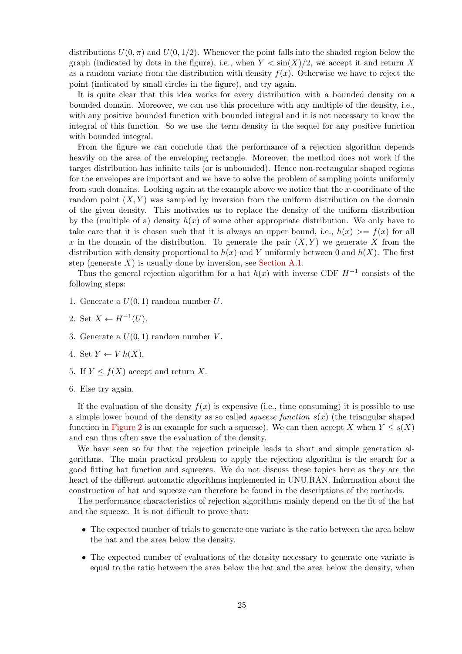distributions  $U(0, \pi)$  and  $U(0, 1/2)$ . Whenever the point falls into the shaded region below the graph (indicated by dots in the figure), i.e., when  $Y < \sin(X)/2$ , we accept it and return X as a random variate from the distribution with density  $f(x)$ . Otherwise we have to reject the point (indicated by small circles in the figure), and try again.

It is quite clear that this idea works for every distribution with a bounded density on a bounded domain. Moreover, we can use this procedure with any multiple of the density, i.e., with any positive bounded function with bounded integral and it is not necessary to know the integral of this function. So we use the term density in the sequel for any positive function with bounded integral.

From the figure we can conclude that the performance of a rejection algorithm depends heavily on the area of the enveloping rectangle. Moreover, the method does not work if the target distribution has infinite tails (or is unbounded). Hence non-rectangular shaped regions for the envelopes are important and we have to solve the problem of sampling points uniformly from such domains. Looking again at the example above we notice that the x-coordinate of the random point  $(X, Y)$  was sampled by inversion from the uniform distribution on the domain of the given density. This motivates us to replace the density of the uniform distribution by the (multiple of a) density  $h(x)$  of some other appropriate distribution. We only have to take care that it is chosen such that it is always an upper bound, i.e.,  $h(x) \geq f(x)$  for all x in the domain of the distribution. To generate the pair  $(X, Y)$  we generate X from the distribution with density proportional to  $h(x)$  and Y uniformly between 0 and  $h(X)$ . The first step (generate  $X$ ) is usually done by inversion, see [Section A.1.](#page-21-2)

Thus the general rejection algorithm for a hat  $h(x)$  with inverse CDF  $H^{-1}$  consists of the following steps:

1. Generate a  $U(0, 1)$  random number U.

2. Set 
$$
X \leftarrow H^{-1}(U)
$$
.

- 3. Generate a  $U(0,1)$  random number V.
- 4. Set  $Y \leftarrow V h(X)$ .
- 5. If  $Y \leq f(X)$  accept and return X.
- 6. Else try again.

If the evaluation of the density  $f(x)$  is expensive (i.e., time consuming) it is possible to use a simple lower bound of the density as so called *squeeze function*  $s(x)$  (the triangular shaped function in [Figure 2](#page-23-0) is an example for such a squeeze). We can then accept X when  $Y \leq s(X)$ and can thus often save the evaluation of the density.

We have seen so far that the rejection principle leads to short and simple generation algorithms. The main practical problem to apply the rejection algorithm is the search for a good fitting hat function and squeezes. We do not discuss these topics here as they are the heart of the different automatic algorithms implemented in UNU.RAN. Information about the construction of hat and squeeze can therefore be found in the descriptions of the methods.

The performance characteristics of rejection algorithms mainly depend on the fit of the hat and the squeeze. It is not difficult to prove that:

- The expected number of trials to generate one variate is the ratio between the area below the hat and the area below the density.
- The expected number of evaluations of the density necessary to generate one variate is equal to the ratio between the area below the hat and the area below the density, when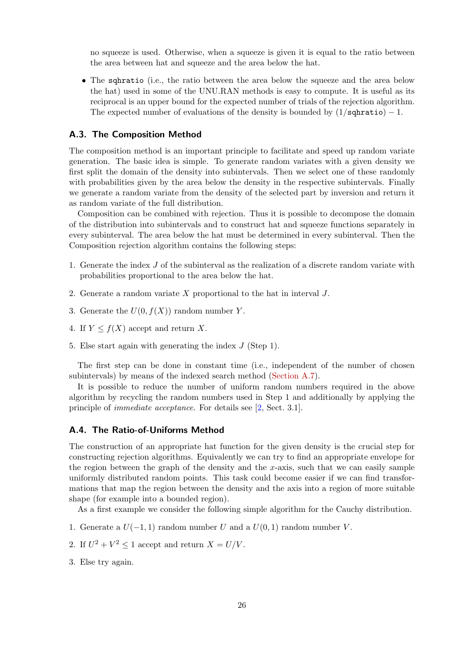no squeeze is used. Otherwise, when a squeeze is given it is equal to the ratio between the area between hat and squeeze and the area below the hat.

• The sqhratio (i.e., the ratio between the area below the squeeze and the area below the hat) used in some of the UNU.RAN methods is easy to compute. It is useful as its reciprocal is an upper bound for the expected number of trials of the rejection algorithm. The expected number of evaluations of the density is bounded by  $(1/sqhratio) - 1$ .

### A.3. The Composition Method

The composition method is an important principle to facilitate and speed up random variate generation. The basic idea is simple. To generate random variates with a given density we first split the domain of the density into subintervals. Then we select one of these randomly with probabilities given by the area below the density in the respective subintervals. Finally we generate a random variate from the density of the selected part by inversion and return it as random variate of the full distribution.

Composition can be combined with rejection. Thus it is possible to decompose the domain of the distribution into subintervals and to construct hat and squeeze functions separately in every subinterval. The area below the hat must be determined in every subinterval. Then the Composition rejection algorithm contains the following steps:

- 1. Generate the index J of the subinterval as the realization of a discrete random variate with probabilities proportional to the area below the hat.
- 2. Generate a random variate X proportional to the hat in interval J.
- 3. Generate the  $U(0, f(X))$  random number Y.
- 4. If  $Y \leq f(X)$  accept and return X.
- 5. Else start again with generating the index J (Step 1).

The first step can be done in constant time (i.e., independent of the number of chosen subintervals) by means of the indexed search method [\(Section A.7\)](#page-28-0).

It is possible to reduce the number of uniform random numbers required in the above algorithm by recycling the random numbers used in Step 1 and additionally by applying the principle of immediate acceptance. For details see [\[2,](#page-33-1) Sect. 3.1].

### A.4. The Ratio-of-Uniforms Method

The construction of an appropriate hat function for the given density is the crucial step for constructing rejection algorithms. Equivalently we can try to find an appropriate envelope for the region between the graph of the density and the  $x$ -axis, such that we can easily sample uniformly distributed random points. This task could become easier if we can find transformations that map the region between the density and the axis into a region of more suitable shape (for example into a bounded region).

As a first example we consider the following simple algorithm for the Cauchy distribution.

- 1. Generate a  $U(-1, 1)$  random number U and a  $U(0, 1)$  random number V.
- 2. If  $U^2 + V^2 \le 1$  accept and return  $X = U/V$ .
- 3. Else try again.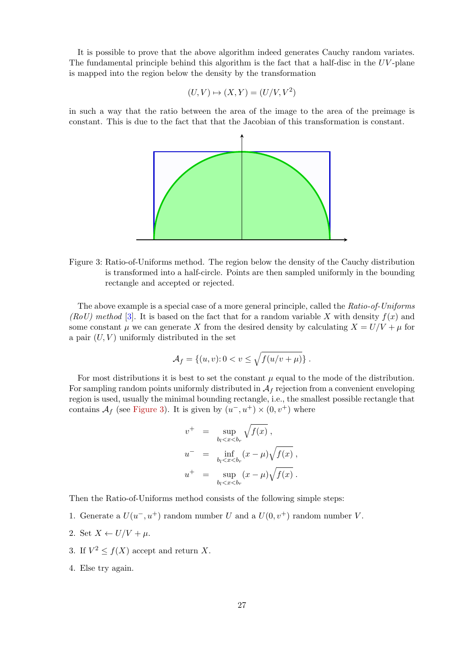It is possible to prove that the above algorithm indeed generates Cauchy random variates. The fundamental principle behind this algorithm is the fact that a half-disc in the  $UV$ -plane is mapped into the region below the density by the transformation

$$
(U, V) \mapsto (X, Y) = (U/V, V^2)
$$

in such a way that the ratio between the area of the image to the area of the preimage is constant. This is due to the fact that that the Jacobian of this transformation is constant.



<span id="page-26-0"></span>Figure 3: Ratio-of-Uniforms method. The region below the density of the Cauchy distribution is transformed into a half-circle. Points are then sampled uniformly in the bounding rectangle and accepted or rejected.

The above example is a special case of a more general principle, called the Ratio-of-Uniforms (RoU) method [\[3\]](#page-33-5). It is based on the fact that for a random variable X with density  $f(x)$  and some constant  $\mu$  we can generate X from the desired density by calculating  $X = U/V + \mu$  for a pair  $(U, V)$  uniformly distributed in the set

$$
\mathcal{A}_f = \{(u, v): 0 < v \le \sqrt{f(u/v + \mu)}\}.
$$

For most distributions it is best to set the constant  $\mu$  equal to the mode of the distribution. For sampling random points uniformly distributed in  $A_f$  rejection from a convenient enveloping region is used, usually the minimal bounding rectangle, i.e., the smallest possible rectangle that contains  $\mathcal{A}_f$  (see [Figure 3\)](#page-26-0). It is given by  $(u^-, u^+) \times (0, v^+)$  where

$$
v^+ = \sup_{b_l < x < b_r} \sqrt{f(x)},
$$
\n
$$
u^- = \inf_{b_l < x < b_r} (x - \mu) \sqrt{f(x)},
$$
\n
$$
u^+ = \sup_{b_l < x < b_r} (x - \mu) \sqrt{f(x)}.
$$

Then the Ratio-of-Uniforms method consists of the following simple steps:

1. Generate a  $U(u^-, u^+)$  random number U and a  $U(0, v^+)$  random number V.

2. Set 
$$
X \leftarrow U/V + \mu
$$
.

- 3. If  $V^2 \le f(X)$  accept and return X.
- 4. Else try again.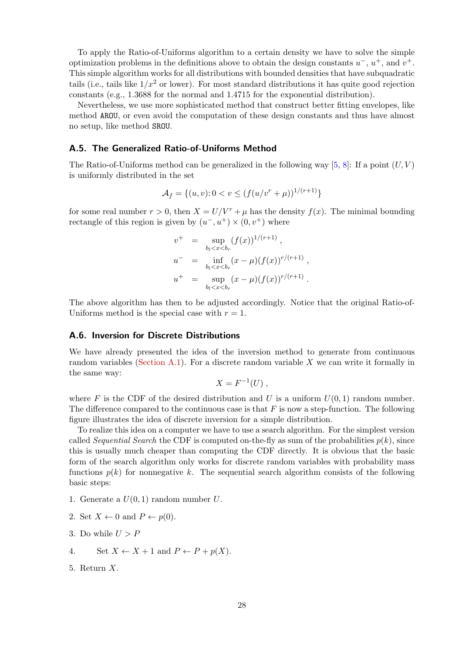To apply the Ratio-of-Uniforms algorithm to a certain density we have to solve the simple optimization problems in the definitions above to obtain the design constants  $u^-, u^+,$  and  $v^+$ . This simple algorithm works for all distributions with bounded densities that have subquadratic tails (i.e., tails like  $1/x^2$  or lower). For most standard distributions it has quite good rejection constants (e.g., 1.3688 for the normal and 1.4715 for the exponential distribution).

Nevertheless, we use more sophisticated method that construct better fitting envelopes, like method AROU, or even avoid the computation of these design constants and thus have almost no setup, like method SROU.

### A.5. The Generalized Ratio-of-Uniforms Method

The Ratio-of-Uniforms method can be generalized in the following way  $[5, 8]$  $[5, 8]$  $[5, 8]$ : If a point  $(U, V)$ is uniformly distributed in the set

$$
\mathcal{A}_f = \{(u, v): 0 < v \le (f(u/v^r + \mu))^{1/(r+1)}\}
$$

for some real number  $r > 0$ , then  $X = U/V^r + \mu$  has the density  $f(x)$ . The minimal bounding rectangle of this region is given by  $(u^-, u^+) \times (0, v^+)$  where

$$
v^{+} = \sup_{b_l < x < b_r} (f(x))^{1/(r+1)},
$$
  
\n
$$
u^{-} = \inf_{b_l < x < b_r} (x - \mu)(f(x))^{r/(r+1)},
$$
  
\n
$$
u^{+} = \sup_{b_l < x < b_r} (x - \mu)(f(x))^{r/(r+1)}.
$$

The above algorithm has then to be adjusted accordingly. Notice that the original Ratio-of-Uniforms method is the special case with  $r = 1$ .

### A.6. Inversion for Discrete Distributions

We have already presented the idea of the inversion method to generate from continuous random variables [\(Section A.1\)](#page-21-2). For a discrete random variable  $X$  we can write it formally in the same way:

$$
X = F^{-1}(U) ,
$$

where F is the CDF of the desired distribution and U is a uniform  $U(0, 1)$  random number. The difference compared to the continuous case is that  $F$  is now a step-function. The following figure illustrates the idea of discrete inversion for a simple distribution.

To realize this idea on a computer we have to use a search algorithm. For the simplest version called Sequential Search the CDF is computed on-the-fly as sum of the probabilities  $p(k)$ , since this is usually much cheaper than computing the CDF directly. It is obvious that the basic form of the search algorithm only works for discrete random variables with probability mass functions  $p(k)$  for nonnegative k. The sequential search algorithm consists of the following basic steps:

- 1. Generate a  $U(0, 1)$  random number U.
- 2. Set  $X \leftarrow 0$  and  $P \leftarrow p(0)$ .
- 3. Do while  $U > P$
- 4. Set  $X \leftarrow X + 1$  and  $P \leftarrow P + p(X)$ .
- 5. Return X.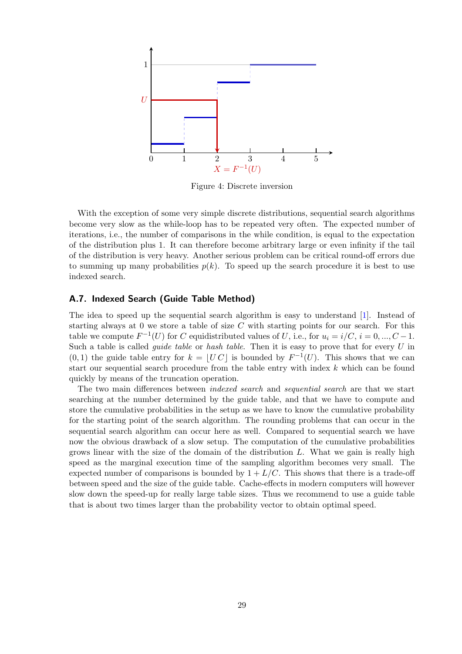

Figure 4: Discrete inversion

With the exception of some very simple discrete distributions, sequential search algorithms become very slow as the while-loop has to be repeated very often. The expected number of iterations, i.e., the number of comparisons in the while condition, is equal to the expectation of the distribution plus 1. It can therefore become arbitrary large or even infinity if the tail of the distribution is very heavy. Another serious problem can be critical round-off errors due to summing up many probabilities  $p(k)$ . To speed up the search procedure it is best to use indexed search.

### <span id="page-28-0"></span>A.7. Indexed Search (Guide Table Method)

The idea to speed up the sequential search algorithm is easy to understand [\[1\]](#page-33-8). Instead of starting always at 0 we store a table of size  $C$  with starting points for our search. For this table we compute  $F^{-1}(U)$  for C equidistributed values of U, i.e., for  $u_i = i/C$ ,  $i = 0, ..., C - 1$ . Such a table is called *quide table* or *hash table*. Then it is easy to prove that for every  $U$  in  $(0, 1)$  the guide table entry for  $k = |UC|$  is bounded by  $F^{-1}(U)$ . This shows that we can start our sequential search procedure from the table entry with index k which can be found quickly by means of the truncation operation.

The two main differences between *indexed search* and *sequential search* are that we start searching at the number determined by the guide table, and that we have to compute and store the cumulative probabilities in the setup as we have to know the cumulative probability for the starting point of the search algorithm. The rounding problems that can occur in the sequential search algorithm can occur here as well. Compared to sequential search we have now the obvious drawback of a slow setup. The computation of the cumulative probabilities grows linear with the size of the domain of the distribution  $L$ . What we gain is really high speed as the marginal execution time of the sampling algorithm becomes very small. The expected number of comparisons is bounded by  $1 + L/C$ . This shows that there is a trade-off between speed and the size of the guide table. Cache-effects in modern computers will however slow down the speed-up for really large table sizes. Thus we recommend to use a guide table that is about two times larger than the probability vector to obtain optimal speed.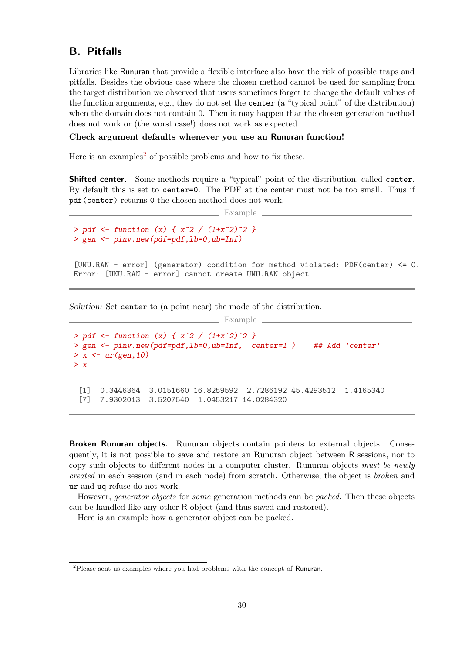# <span id="page-29-0"></span>B. Pitfalls

Libraries like Runuran that provide a flexible interface also have the risk of possible traps and pitfalls. Besides the obvious case where the chosen method cannot be used for sampling from the target distribution we observed that users sometimes forget to change the default values of the function arguments, e.g., they do not set the center (a "typical point" of the distribution) when the domain does not contain 0. Then it may happen that the chosen generation method does not work or (the worst case!) does not work as expected.

### Check argument defaults whenever you use an Runuran function!

Here is an examples<sup>[2](#page-29-1)</sup> of possible problems and how to fix these.

Shifted center. Some methods require a "typical" point of the distribution, called center. By default this is set to center=0. The PDF at the center must not be too small. Thus if pdf(center) returns 0 the chosen method does not work.

```
Example
```

```
> pdf <- function (x) { x^2 / (1+x^2)^2 }
> gen <- pinv.new(pdf=pdf,lb=0,ub=Inf)
```
[UNU.RAN - error] (generator) condition for method violated: PDF(center) <= 0. Error: [UNU.RAN - error] cannot create UNU.RAN object

Solution: Set center to (a point near) the mode of the distribution.

```
Example
> pdf <- function (x) { x^2 / (1+x^2)^2 }
> gen <- pinv.new(pdf=pdf,1b=0,ub=Inf, center=1) ## Add 'center'
> x < -ur(gen, 10)> x
 [1] 0.3446364 3.0151660 16.8259592 2.7286192 45.4293512 1.4165340
 [7] 7.9302013 3.5207540 1.0453217 14.0284320
```
**Broken Runuran objects.** Runuran objects contain pointers to external objects. Consequently, it is not possible to save and restore an Runuran object between R sessions, nor to copy such objects to different nodes in a computer cluster. Runuran objects must be newly created in each session (and in each node) from scratch. Otherwise, the object is broken and ur and uq refuse do not work.

However, generator objects for some generation methods can be packed. Then these objects can be handled like any other R object (and thus saved and restored).

Here is an example how a generator object can be packed.

<span id="page-29-1"></span><sup>&</sup>lt;sup>2</sup>Please sent us examples where you had problems with the concept of Runuran.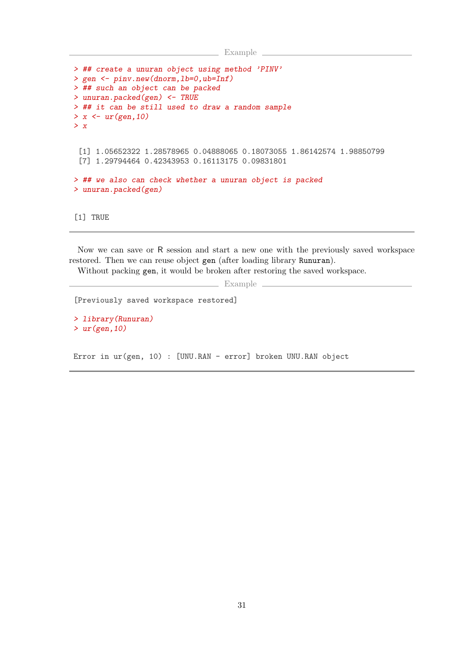```
__ Example _
```

```
> ## create a unuran object using method 'PINV'
> gen <- pinv.new(dnorm,lb=0,ub=Inf)
> ## such an object can be packed
> unuran.packed(gen) <- TRUE
> ## it can be still used to draw a random sample
> x < -ur(\text{gen},10)> x
 [1] 1.05652322 1.28578965 0.04888065 0.18073055 1.86142574 1.98850799
 [7] 1.29794464 0.42343953 0.16113175 0.09831801
> ## we also can check whether a unuran object is packed
> unuran.packed(gen)
[1] TRUE
```
Now we can save or R session and start a new one with the previously saved workspace restored. Then we can reuse object gen (after loading library Runuran).

Without packing gen, it would be broken after restoring the saved workspace.

Example \_

[Previously saved workspace restored]

> library(Runuran)  $>$  ur(gen, 10)

Error in ur(gen, 10) : [UNU.RAN - error] broken UNU.RAN object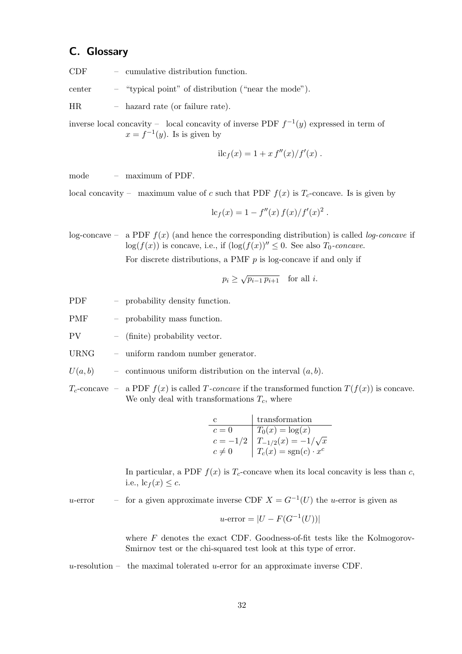# <span id="page-31-0"></span>C. Glossary

CDF – cumulative distribution function.

center – "typical point" of distribution ("near the mode").

HR – hazard rate (or failure rate).

inverse local concavity – local concavity of inverse PDF  $f^{-1}(y)$  expressed in term of  $x = f^{-1}(y)$ . Is is given by

$$
i cf(x) = 1 + x f''(x)/f'(x) .
$$

mode – maximum of PDF.

local concavity – maximum value of c such that PDF  $f(x)$  is  $T_c$ -concave. Is is given by

$$
lc_f(x) = 1 - f''(x) f(x)/f'(x)^2.
$$

log-concave – a PDF  $f(x)$  (and hence the corresponding distribution) is called *log-concave* if  $\log(f(x))$  is concave, i.e., if  $(\log(f(x))'' \leq 0$ . See also  $T_0$ -concave.

For discrete distributions, a PMF  $p$  is log-concave if and only if

$$
p_i \ge \sqrt{p_{i-1} p_{i+1}} \quad \text{for all } i.
$$

- PDF probability density function.
- PMF probability mass function.

PV – (finite) probability vector.

- URNG uniform random number generator.
- $U(a, b)$  continuous uniform distribution on the interval  $(a, b)$ .
- $T_c$ -concave a PDF  $f(x)$  is called T-concave if the transformed function  $T(f(x))$  is concave. We only deal with transformations  $T_c$ , where

|           | transformation                             |
|-----------|--------------------------------------------|
| $c=0$     | $T_0(x) = \log(x)$                         |
|           | $c=-1/2\,\big \,\,T_{-1/2}(x)=-1/\sqrt{x}$ |
| $c\neq 0$ | $T_c(x) = \text{sgn}(c) \cdot x^c$         |

In particular, a PDF  $f(x)$  is  $T_c$ -concave when its local concavity is less than c, i.e.,  $\mathrm{lc}_f(x) \leq c$ .

u-error – for a given approximate inverse CDF  $X = G^{-1}(U)$  the u-error is given as

$$
u\text{-error} = |U - F(G^{-1}(U))|
$$

where  $F$  denotes the exact CDF. Goodness-of-fit tests like the Kolmogorov-Smirnov test or the chi-squared test look at this type of error.

 $u$ -resolution – the maximal tolerated  $u$ -error for an approximate inverse CDF.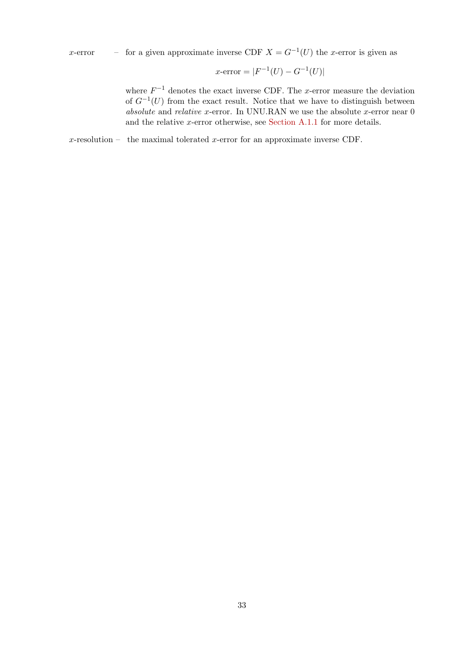x-error – for a given approximate inverse CDF  $X = G^{-1}(U)$  the x-error is given as

$$
x\text{-error} = |F^{-1}(U) - G^{-1}(U)|
$$

where  $F^{-1}$  denotes the exact inverse CDF. The x-error measure the deviation of  $G^{-1}(U)$  from the exact result. Notice that we have to distinguish between absolute and relative x-error. In UNU.RAN we use the absolute x-error near  $0$ and the relative x-error otherwise, see [Section A.1.1](#page-22-0) for more details.

 $x$ -resolution – the maximal tolerated  $x$ -error for an approximate inverse CDF.